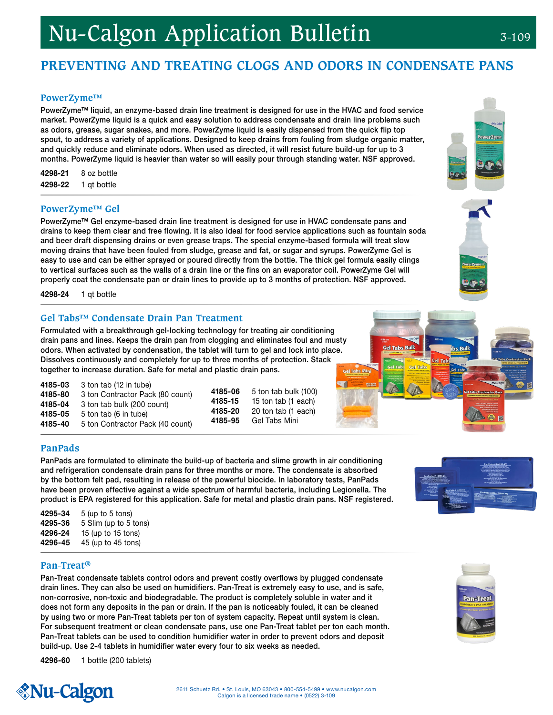# **PREVENTING AND TREATING CLOGS AND ODORS IN CONDENSATE PANS**

#### **PowerZyme™**

PowerZyme™ liquid, an enzyme-based drain line treatment is designed for use in the HVAC and food service market. PowerZyme liquid is a quick and easy solution to address condensate and drain line problems such as odors, grease, sugar snakes, and more. PowerZyme liquid is easily dispensed from the quick flip top spout, to address a variety of applications. Designed to keep drains from fouling from sludge organic matter, and quickly reduce and eliminate odors. When used as directed, it will resist future build-up for up to 3 months. PowerZyme liquid is heavier than water so will easily pour through standing water. NSF approved.

| 4298-21 | 8 oz bottle |
|---------|-------------|
| 4298-22 | 1 qt bottle |

### **PowerZyme™ Gel**

PowerZyme™ Gel enzyme-based drain line treatment is designed for use in HVAC condensate pans and drains to keep them clear and free flowing. It is also ideal for food service applications such as fountain soda and beer draft dispensing drains or even grease traps. The special enzyme-based formula will treat slow moving drains that have been fouled from sludge, grease and fat, or sugar and syrups. PowerZyme Gel is easy to use and can be either sprayed or poured directly from the bottle. The thick gel formula easily clings to vertical surfaces such as the walls of a drain line or the fins on an evaporator coil. PowerZyme Gel will properly coat the condensate pan or drain lines to provide up to 3 months of protection. NSF approved.

4298-24 1 qt bottle

## **Gel Tabs™ Condensate Drain Pan Treatment**

Formulated with a breakthrough gel-locking technology for treating air conditioning drain pans and lines. Keeps the drain pan from clogging and eliminates foul and musty odors. When activated by condensation, the tablet will turn to gel and lock into place. Dissolves continuously and completely for up to three months of protection. Stack together to increase duration. Safe for metal and plastic drain pans.

| 4185-03 | 3 ton tab (12 in tube)           |         |                      |
|---------|----------------------------------|---------|----------------------|
| 4185-80 | 3 ton Contractor Pack (80 count) | 4185-06 | 5 ton tab bulk (100) |
| 4185-04 | 3 ton tab bulk (200 count)       | 4185-15 | 15 ton tab (1 each)  |
| 4185-05 | 5 ton tab (6 in tube)            | 4185-20 | 20 ton tab (1 each)  |
| 4185-40 | 5 ton Contractor Pack (40 count) | 4185-95 | Gel Tabs Mini        |

### **PanPads**

PanPads are formulated to eliminate the build-up of bacteria and slime growth in air conditioning and refrigeration condensate drain pans for three months or more. The condensate is absorbed by the bottom felt pad, resulting in release of the powerful biocide. In laboratory tests, PanPads have been proven effective against a wide spectrum of harmful bacteria, including Legionella. The product is EPA registered for this application. Safe for metal and plastic drain pans. NSF registered.

| 4295-34 | $5$ (up to $5$ tons)  |
|---------|-----------------------|
| 4295-36 | 5 Slim (up to 5 tons) |
| 4296-24 | 15 (up to $15$ tons)  |
| 4296-45 | 45 (up to 45 tons)    |

### **Pan-Treat®**

Pan-Treat condensate tablets control odors and prevent costly overflows by plugged condensate drain lines. They can also be used on humidifiers. Pan-Treat is extremely easy to use, and is safe, non-corrosive, non-toxic and biodegradable. The product is completely soluble in water and it does not form any deposits in the pan or drain. If the pan is noticeably fouled, it can be cleaned by using two or more Pan-Treat tablets per ton of system capacity. Repeat until system is clean. For subsequent treatment or clean condensate pans, use one Pan-Treat tablet per ton each month. Pan-Treat tablets can be used to condition humidifier water in order to prevent odors and deposit build-up. Use 2-4 tablets in humidifier water every four to six weeks as needed.

4296-60 1 bottle (200 tablets)